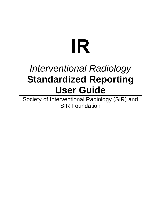# **IR**

# *Interventional Radiology* **Standardized Reporting User Guide**

Society of Interventional Radiology (SIR) and SIR Foundation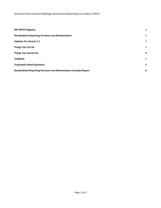| <b>SIR VIRTEX Registry</b>                                              | 3              |
|-------------------------------------------------------------------------|----------------|
| <b>Standardized Reporting Structure and Nomenclature</b>                | 3              |
| <b>Updates for Version 3.1</b>                                          | 3              |
| <b>Things You Can Do</b>                                                | 3              |
| <b>Things You Cannot Do</b>                                             | $\overline{a}$ |
| <b>Feedback</b>                                                         | $\overline{4}$ |
| <b>Frequently Asked Questions</b>                                       | 4              |
| <b>Standardized Reporting Structure and Nomenclature Example Report</b> | 6              |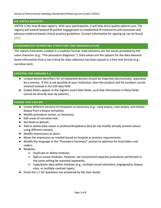#### <span id="page-2-0"></span>**SIR VIRTEX REGISTRY**

VIRTEX is the new IR data registry. With your participation, it will help drive quality patient care. The registry will extend beyond IR-patient engagement to standardize IR treatments and outcomes and advance evidence-based clinical practice guidelines. Contact information for signing up can be found [here.](https://www.sirweb.org/practice-resources/quality-improvement2/data-registry/enrollment/)

#### <span id="page-2-1"></span>**STANDARDIZED REPORTING STRUCTURE AND NOMENCLATURE**

The reports have been created in a modular format. Data elements are the words preceded by the colon character (e.g.: "Pre-procedure diagnosis:"). Data values are the options for the data element. Some information that is not critical for data collection has been placed in a free-text format (e.g.: narrative text).

#### <span id="page-2-2"></span>**UPDATES FOR VERSION 3.1**

- Unique device identifiers for all implanted devices should be imported electronically, separated by a comma. If this is not possible at your institution, then the product and lot numbers can be entered instead in the UDI data field.
- Coded letters appear in the registry event data fields, such that information in these fields cannot be directly seen by patients.

#### <span id="page-2-3"></span>**THINGS YOU CAN DO**

- Create different versions of templates as necessary (e.g.: *Lung* biopsy, *Liver* biopsy, and *Kidney* biopsy from a biopsy template).
- Modify procedure names, as necessary.
- Edit areas of narrative text.
- Set fields to default.
- Add or delete data values in picklists/dropdowns (but do not modify already present values using different names).
- Modify impressions or plans.
- Move the impression as needed based on hospital or practice requirements.
- Modify the language in the "Procedure Summary" section to optimize for local billers and coders.
- Modules:
	- Duplicate or delete modules.
	- Add or create modules. However, we recommend separate procedures performed in the same setting be reported separately.
	- Copy/paste data within modules (e.g., multiple vessel selections, angiography, biopsy sites, or multiple contrast types).
- Email the [SIR](mailto:ldonofrio@sirweb.org?subject=Questions%20regarding%20the%20SIR%20Standardized%20Reporting%20Templates) for questions not answered by the User Guide.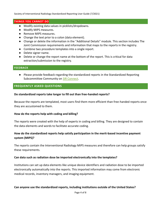Society of Interventional Radiology Standardized Reporting User Guide (7/2021)

#### <span id="page-3-0"></span>**THINGS YOU CANNOT DO**

- Modify existing data values in picklists/dropdowns.
- Modify MIPS measures.
- Remove MIPS measures.
- Change the text prior to a colon (data element).
- Change or delete the information in the "Additional Details" module. This section includes The Joint Commission requirements and information that maps to the reports in the registry.
- Combine two procedure templates into a single report.
- Delete signer name.
- Delete or change the report name at the bottom of the report. This is critical for data extraction/submission to the registry.

#### <span id="page-3-1"></span>**FEEDBACK**

● Please provide feedback regarding the standardized reports in the Standardized Reporting Subcommittee Community on [SIR Connect.](https://connect.sirweb.org/communities/community-home?CommunityKey=109ee9c7-3d77-4153-a96f-3db974c78c6a)

### <span id="page-3-2"></span>**FREQUENTLY ASKED QUESTIONS**

#### **Do standardized reports take longer to fill out than free-handed reports?**

Because the reports are templated, most users find them more efficient than free-handed reports once they are accustomed to them.

#### **How do the reports help with coding and billing?**

The reports were created with the help of experts in coding and billing. They are designed to contain the data elements and words to facilitate accurate coding.

## **How do the standardized reports help satisfy participation in the merit-based incentive payment system (MIPS)?**

The reports contain the Interventional Radiology MIPS measures and therefore can help groups satisfy these requirements.

#### **Can data such as radiation dose be imported electronically into the templates?**

Institutions can set up data elements like unique device identifiers and radiation dose to be imported electronically automatically into the reports. This imported information may come from electronic medical records, inventory managers, and imaging equipment.

#### **Can anyone use the standardized reports, including institutions outside of the United States?**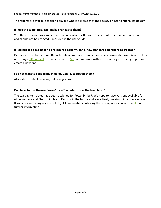Society of Interventional Radiology Standardized Reporting User Guide (7/2021)

The reports are available to use to anyone who is a member of the Society of Interventional Radiology.

#### **If I use the templates, can I make changes to them?**

Yes, these templates are meant to remain flexible for the user. Specific information on what should and should not be changed is included in the user guide.

#### **If I do not see a report for a procedure I perform, can a new standardized report be created?**

Definitely! The Standardized Reports Subcommittee currently meets on a bi-weekly basis. Reach out to us through [SIR Connect](https://connect.sirweb.org/communities/community-home?CommunityKey=109ee9c7-3d77-4153-a96f-3db974c78c6a) or send an email to [SIR.](mailto:ldonofrio@sirweb.org?subject=Questions%20regarding%20the%20SIR%20Standardized%20Reporting%20Templates) We will work with you to modify an existing report or create a new one.

#### **I do not want to keep filling in fields. Can I just default them?**

Absolutely! Default as many fields as you like.

#### **Do I have to use Nuance PowerScribe® in order to use the templates?**

The existing templates have been designed for PowerScribe®. We hope to have versions available for other vendors and Electronic Health Records in the future and are actively working with other vendors. If you are a reporting system or EHR/EMR interested in utilizing these templates, contact the [SIR](mailto:ldonofrio@sirweb.org?subject=Information%20regarding%20the%20SIR%20Standardized%20Reporting%20Templates) for further information.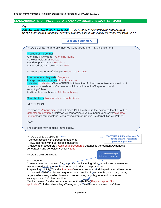# **STANDARDIZED REPORTING STRUCTURE AND NOMENCLATURE EXAMPLE REPORT**

Key:

Data Element highlighted in turquoise = TJC (The Joint Commission) Requirement<br>MIPS= Merit-based Incentive Payment System, part of the Quality Payment Program (QPP)

|                                                                                                                                                                                | <b>Executive Summary</b>                                                           |                                       |  |  |
|--------------------------------------------------------------------------------------------------------------------------------------------------------------------------------|------------------------------------------------------------------------------------|---------------------------------------|--|--|
| PROCEDURE: Peripherally Inserted Central Catheter (PICC) placement                                                                                                             |                                                                                    |                                       |  |  |
|                                                                                                                                                                                |                                                                                    |                                       |  |  |
| <b>Procedural Personnel</b>                                                                                                                                                    |                                                                                    |                                       |  |  |
| Attending physician(s): Attending Name<br>Fellow physician(s): Fellow                                                                                                          |                                                                                    |                                       |  |  |
| Resident physician(s): Resident                                                                                                                                                |                                                                                    |                                       |  |  |
| Advanced practice provider(s): APP                                                                                                                                             |                                                                                    |                                       |  |  |
|                                                                                                                                                                                |                                                                                    |                                       |  |  |
| Procedure Date (mm/dd/yyyy): Report Create Date                                                                                                                                |                                                                                    |                                       |  |  |
| Pre-procedure diagnosis: Diagnosis                                                                                                                                             |                                                                                    |                                       |  |  |
| Post-procedure diagnosis: Post Procedure                                                                                                                                       |                                                                                    |                                       |  |  |
| Indication: Indication:Chemo/TPN/Administration of blood products/Administration of                                                                                            |                                                                                    |                                       |  |  |
| intravenous medications/Intravenous fluid administration/Repeated blood                                                                                                        |                                                                                    |                                       |  |  |
| sampling/Other-<br>Additional clinical history: Additional history                                                                                                             |                                                                                    |                                       |  |  |
|                                                                                                                                                                                |                                                                                    |                                       |  |  |
| Complications: No immediate complications.                                                                                                                                     |                                                                                    |                                       |  |  |
| <b>IMPRESSION:</b>                                                                                                                                                             |                                                                                    |                                       |  |  |
|                                                                                                                                                                                |                                                                                    |                                       |  |  |
| Insertion of Venous side:right/left-sided PICC, with tip in the expected location of the                                                                                       |                                                                                    |                                       |  |  |
| Catheter tip location: subclavian vein/innominate vein/superior vena cava/cavoatrial<br>junction/right atrium/inferior vena cava/common iliac vein/external iliac vein/other-. |                                                                                    |                                       |  |  |
|                                                                                                                                                                                |                                                                                    |                                       |  |  |
| Plan:                                                                                                                                                                          |                                                                                    |                                       |  |  |
| The catheter may be used immediately.                                                                                                                                          |                                                                                    |                                       |  |  |
|                                                                                                                                                                                |                                                                                    |                                       |  |  |
| <b>PROCEDURE SUMMARY: 4</b>                                                                                                                                                    |                                                                                    | <b>PROCEDURE SUMMARY is meant for</b> |  |  |
| - Venous access with ultrasound guidance                                                                                                                                       |                                                                                    | coders to know the reportable         |  |  |
| - PICC insertion with fluoroscopic guidance                                                                                                                                    |                                                                                    | procedures performed                  |  |  |
|                                                                                                                                                                                | - Additional procedure(s): Additional procedures: Diagnostic venography/Diagnostic |                                       |  |  |
| venography and venoplasty/Other-/None                                                                                                                                          |                                                                                    |                                       |  |  |
|                                                                                                                                                                                |                                                                                    | Allows for reporting of               |  |  |
| <b>PROCEDURE DETAILS:</b>                                                                                                                                                      |                                                                                    | MIPS quality measures                 |  |  |
| Pre-procedure                                                                                                                                                                  |                                                                                    |                                       |  |  |
| Consent: Informed consent for the procedure including risks, benefits and alternatives                                                                                         |                                                                                    |                                       |  |  |
| was obtained and time-out was performed prior to the procedure.                                                                                                                |                                                                                    |                                       |  |  |
| Preparation (MIPS)) The site Prep:was/was not prepared and draped using all elements                                                                                           |                                                                                    |                                       |  |  |
| of maximal sterile barrier technique including sterile gloyes, sterile gown, cap, mask,                                                                                        |                                                                                    |                                       |  |  |
| large sterile sheet, sterile ultrasound probe cover, hand hygiene and cutaneous                                                                                                |                                                                                    |                                       |  |  |
| antisepsis with 2% chlorhexidine.                                                                                                                                              | Medical reason for site preparation exception (MIPS): Prep exception: Not          |                                       |  |  |
|                                                                                                                                                                                | applicable/Chlorhexidine allergy/Emergency access/No medical reason/Other-         |                                       |  |  |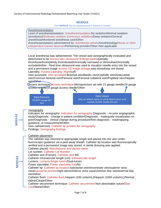